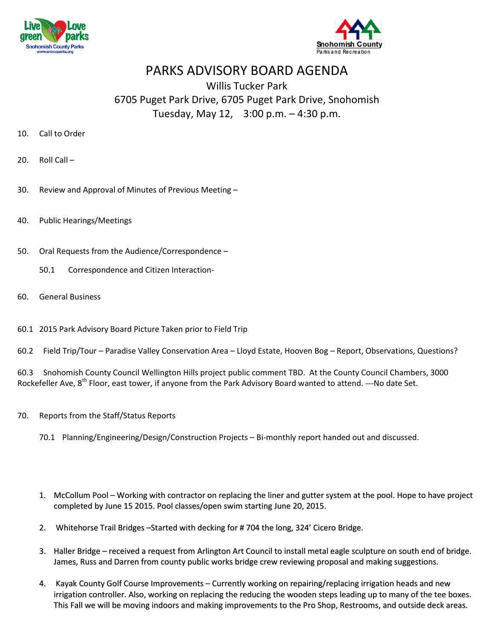



## PARKS ADVISORY BOARD AGENDA

## Willis Tucker Park 6705 Puget Park Drive, 6705 Puget Park Drive, Snohomish Tuesday, May 12, 3:00 p.m. – 4:30 p.m.

- 10. Call to Order
- 20. Roll Call –
- 30. Review and Approval of Minutes of Previous Meeting –
- 40. Public Hearings/Meetings
- 50. Oral Requests from the Audience/Correspondence
	- 50.1 Correspondence and Citizen Interaction-
- 60. General Business
- 60.1 2015 Park Advisory Board Picture Taken prior to Field Trip
- 60.2 Field Trip/Tour Paradise Valley Conservation Area Lloyd Estate, Hooven Bog Report, Observations, Questions?

60.3 Snohomish County Council Wellington Hills project public comment TBD. At the County Council Chambers, 3000 Rockefeller Ave, 8<sup>th</sup> Floor, east tower, if anyone from the Park Advisory Board wanted to attend. ---No date Set.

- 70. Reports from the Staff/Status Reports
	- 70.1 Planning/Engineering/Design/Construction Projects Bi-monthly report handed out and discussed.
	- 1. McCollum Pool Working with contractor on replacing the liner and gutter system at the pool. Hope to have project completed by June 15 2015. Pool classes/open swim starting June 20, 2015.
	- 2. Whitehorse Trail Bridges –Started with decking for # 704 the long, 324' Cicero Bridge.
	- 3. Haller Bridge received a request from Arlington Art Council to install metal eagle sculpture on south end of bridge. James, Russ and Darren from county public works bridge crew reviewing proposal and making suggestions.
	- 4. Kayak County Golf Course Improvements Currently working on repairing/replacing irrigation heads and new irrigation controller. Also, working on replacing the reducing the wooden stepsleading up to many of the tee boxes. This Fall we will be moving indoors and making improvements to the Pro Shop, Restrooms, and outside deck areas.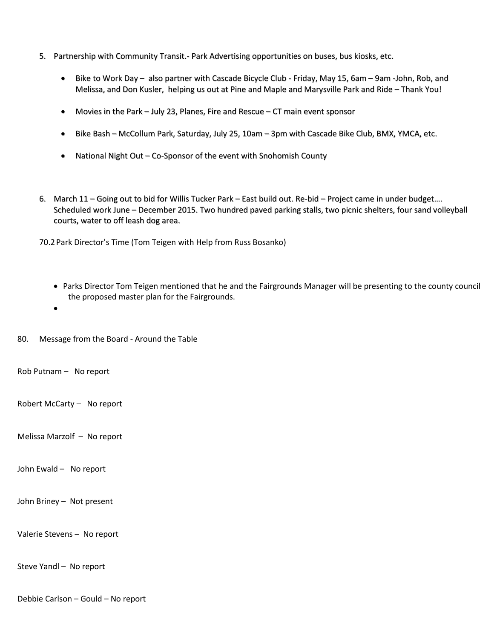- 5. Partnership with Community Transit.- Park Advertising opportunities on buses, bus kiosks, etc.
	- Bike to Work Day also partner with Cascade Bicycle Club Friday, May 15, 6am 9am -John, Rob, and Melissa, and Don Kusler, helping us out at Pine and Maple and Marysville Park and Ride – Thank You!
	- Movies in the Park July 23, Planes, Fire and Rescue CT main event sponsor
	- Bike Bash McCollum Park, Saturday, July 25, 10am 3pm with Cascade Bike Club, BMX, YMCA, etc.
	- National Night Out Co-Sponsor of the event with Snohomish County
- 6. March 11 Going out to bid for Willis Tucker Park East build out. Re-bid Project came in under budget…. Scheduled work June – December 2015. Two hundred paved parking stalls, two picnic shelters, four sand volleyball courts, water to off leash dog area.

70.2Park Director's Time (Tom Teigen with Help from Russ Bosanko)

- Parks Director Tom Teigen mentioned that he and the Fairgrounds Manager will be presenting to the county council the proposed master plan for the Fairgrounds.
- $\bullet$

80. Message from the Board - Around the Table

Rob Putnam – No report

Robert McCarty – No report

Melissa Marzolf – No report

John Ewald – No report

John Briney – Not present

Valerie Stevens – No report

Steve Yandl – No report

Debbie Carlson – Gould – No report